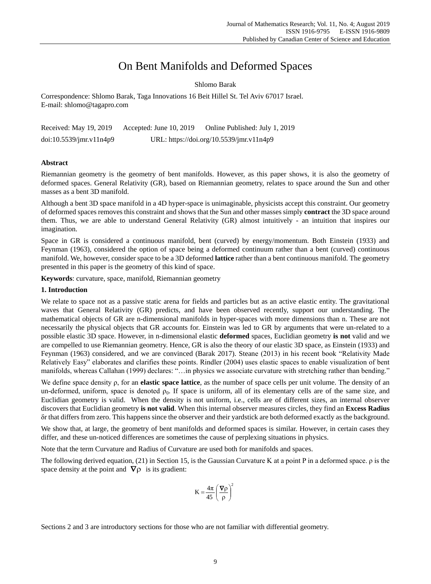# On Bent Manifolds and Deformed Spaces

Shlomo Barak

Correspondence: Shlomo Barak, Taga Innovations 16 Beit Hillel St. Tel Aviv 67017 Israel. E-mail: shlomo@tagapro.com

| Received: May 19, 2019  | Accepted: June $10, 2019$                | Online Published: July 1, 2019 |
|-------------------------|------------------------------------------|--------------------------------|
| doi:10.5539/jmr.v11n4p9 | URL: https://doi.org/10.5539/jmr.v11n4p9 |                                |

# **Abstract**

Riemannian geometry is the geometry of bent manifolds. However, as this paper shows, it is also the geometry of deformed spaces. General Relativity (GR), based on Riemannian geometry, relates to space around the Sun and other masses as a bent 3D manifold.

Although a bent 3D space manifold in a 4D hyper-space is unimaginable, physicists accept this constraint. Our geometry of deformed spaces removes this constraint and shows that the Sun and other masses simply **contract** the 3D space around them. Thus, we are able to understand General Relativity (GR) almost intuitively - an intuition that inspires our imagination.

Space in GR is considered a continuous manifold, bent (curved) by energy/momentum. Both Einstein (1933) and Feynman (1963), considered the option of space being a deformed continuum rather than a bent (curved) continuous manifold. We, however, consider space to be a 3D deformed **lattice** rather than a bent continuous manifold. The geometry presented in this paper is the geometry of this kind of space.

**Keywords**: curvature, space, manifold, Riemannian geometry

# **1. Introduction**

We relate to space not as a passive static arena for fields and particles but as an active elastic entity. The gravitational waves that General Relativity (GR) predicts, and have been observed recently, support our understanding. The mathematical objects of GR are n-dimensional manifolds in hyper-spaces with more dimensions than n. These are not necessarily the physical objects that GR accounts for. Einstein was led to GR by arguments that were un-related to a possible elastic 3D space. However, in n-dimensional elastic **deformed** spaces, Euclidian geometry **is not** valid and we are compelled to use Riemannian geometry. Hence, GR is also the theory of our elastic 3D space, as Einstein (1933) and Feynman (1963) considered, and we are convinced (Barak 2017). Steane (2013) in his recent book "Relativity Made Relatively Easy" elaborates and clarifies these points. Rindler (2004) uses elastic spaces to enable visualization of bent manifolds, whereas Callahan (1999) declares: "…in physics we associate curvature with stretching rather than bending."

We define space density ρ, for an **elastic space lattice**, as the number of space cells per unit volume. The density of an un-deformed, uniform, space is denoted  $\rho_0$ . If space is uniform, all of its elementary cells are of the same size, and Euclidian geometry is valid. When the density is not uniform, i.e., cells are of different sizes, an internal observer discovers that Euclidian geometry **is not valid**. When this internal observer measures circles, they find an **Excess Radius** δr that differs from zero. This happens since the observer and their yardstick are both deformed exactly as the background.

We show that, at large, the geometry of bent manifolds and deformed spaces is similar. However, in certain cases they differ, and these un-noticed differences are sometimes the cause of perplexing situations in physics.

Note that the term Curvature and Radius of Curvature are used both for manifolds and spaces.

The following derived equation, (21) in Section 15, is the Gaussian Curvature K at a point P in a deformed space. ρ is the space density at the point and  $\nabla \rho$  is its gradient:

$$
K=\frac{4\pi}{45}\Bigg(\frac{\boldsymbol{\nabla}\rho}{\rho}\Bigg)^{\!2}
$$

Sections 2 and 3 are introductory sections for those who are not familiar with differential geometry.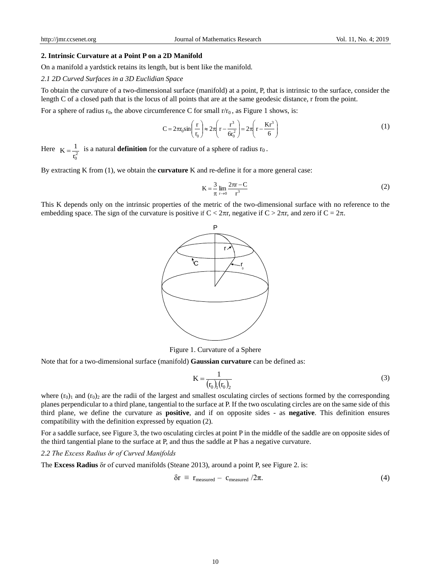#### **2. Intrinsic Curvature at a Point P on a 2D Manifold**

On a manifold a yardstick retains its length, but is bent like the manifold.

*2.1 2D Curved Surfaces in a 3D Euclidian Space*

To obtain the curvature of a two-dimensional surface (manifold) at a point, P, that is intrinsic to the surface, consider the length C of a closed path that is the locus of all points that are at the same geodesic distance, r from the point.

For a sphere of radius  $r_0$ , the above circumference C for small  $r/r_0$ , as Figure 1 shows, is:

$$
C = 2\pi r_0 \sin\left(\frac{r}{r_0}\right) \approx 2\pi \left(r - \frac{r^3}{6r_0^2}\right) = 2\pi \left(r - \frac{Kr^3}{6}\right)
$$
 (1)

Here  $K = \frac{1}{r_0^2}$  is a natural **definition** for the curvature of a sphere of radius  $r_0$ .

By extracting K from (1), we obtain the **curvature** K and re-define it for a more general case:

$$
K = \frac{3}{\pi} \lim_{r \to 0} \frac{2\pi r - C}{r^3}
$$
 (2)

This K depends only on the intrinsic properties of the metric of the two-dimensional surface with no reference to the embedding space. The sign of the curvature is positive if  $C < 2\pi r$ , negative if  $C > 2\pi r$ , and zero if  $C = 2\pi$ .



Figure 1. Curvature of a Sphere

Note that for a two-dimensional surface (manifold) **Gaussian curvature** can be defined as:

$$
K = \frac{1}{(r_0)_{1}(r_0)_{2}}\tag{3}
$$

where  $(r_0)$ <sub>1</sub> and  $(r_0)$ <sub>2</sub> are the radii of the largest and smallest osculating circles of sections formed by the corresponding planes perpendicular to a third plane, tangential to the surface at P. If the two osculating circles are on the same side of this third plane, we define the curvature as **positive**, and if on opposite sides - as **negative**. This definition ensures compatibility with the definition expressed by equation (2).

For a saddle surface, see Figure 3, the two osculating circles at point P in the middle of the saddle are on opposite sides of the third tangential plane to the surface at P, and thus the saddle at P has a negative curvature.

#### *2.2 The Excess Radius δr of Curved Manifolds*

The **Excess Radius** δr of curved manifolds (Steane 2013), around a point P, see Figure 2. is:

$$
\delta r \equiv r_{\text{measured}} - c_{\text{measured}} / 2\pi. \tag{4}
$$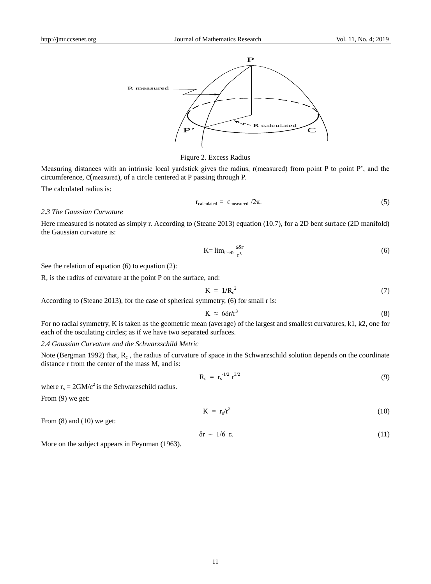

## Figure 2. Excess Radius

Measuring distances with an intrinsic local yardstick gives the radius, r(measured) from point P to point P', and the circumference, c(measured), of a circle centered at P passing through P.

The calculated radius is:

$$
r_{calculated} = c_{measured} / 2\pi.
$$
 (5)

## *2.3 The Gaussian Curvature*

Here rmeasured is notated as simply r. According to (Steane 2013) equation (10.7), for a 2D bent surface (2D manifold) the Gaussian curvature is:

$$
K = \lim_{r \to 0} \frac{6\delta r}{r^3} \tag{6}
$$

See the relation of equation (6) to equation (2):

 $R_c$  is the radius of curvature at the point P on the surface, and:

$$
K = 1/R_c^2 \tag{7}
$$

According to (Steane 2013), for the case of spherical symmetry, (6) for small r is:

$$
K \approx 6\delta r/r^3 \tag{8}
$$

For no radial symmetry, K is taken as the geometric mean (average) of the largest and smallest curvatures, k1, k2, one for each of the osculating circles; as if we have two separated surfaces.

# *2.4 Gaussian Curvature and the Schwarzschild Metric*

Note (Bergman 1992) that,  $R_c$ , the radius of curvature of space in the Schwarzschild solution depends on the coordinate distance r from the center of the mass M, and is:

$$
R_c = r_s^{-1/2} r^{3/2}
$$
 (9)

where  $r_s = 2GM/c^2$  is the Schwarzschild radius.

From (9) we get:

$$
K = r_s/r^3 \tag{10}
$$

From  $(8)$  and  $(10)$  we get:

$$
\delta r \sim 1/6 \, r_s \tag{11}
$$

More on the subject appears in Feynman (1963).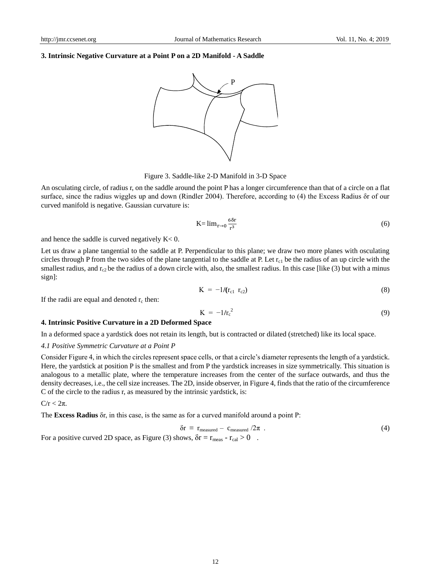# **3. Intrinsic Negative Curvature at a Point P on a 2D Manifold - A Saddle**



Figure 3. Saddle-like 2-D Manifold in 3-D Space

An osculating circle, of radius r, on the saddle around the point P has a longer circumference than that of a circle on a flat surface, since the radius wiggles up and down (Rindler 2004). Therefore, according to (4) the Excess Radius δr of our curved manifold is negative. Gaussian curvature is:

$$
K = \lim_{r \to 0} \frac{6\delta r}{r^3} \tag{6}
$$

and hence the saddle is curved negatively  $K < 0$ .

Let us draw a plane tangential to the saddle at P. Perpendicular to this plane; we draw two more planes with osculating circles through P from the two sides of the plane tangential to the saddle at P. Let  $r_{c1}$  be the radius of an up circle with the smallest radius, and  $r_{c2}$  be the radius of a down circle with, also, the smallest radius. In this case [like (3) but with a minus sign]:

$$
K = -1/(r_{c1} \ r_{c2}) \tag{8}
$$

If the radii are equal and denoted  $r_c$  then:

$$
K = -1/r_c^2 \tag{9}
$$

#### **4. Intrinsic Positive Curvature in a 2D Deformed Space**

In a deformed space a yardstick does not retain its length, but is contracted or dilated (stretched) like its local space.

#### *4.1 Positive Symmetric Curvature at a Point P*

Consider Figure 4, in which the circles represent space cells, or that a circle's diameter represents the length of a yardstick. Here, the yardstick at position P is the smallest and from P the yardstick increases in size symmetrically. This situation is analogous to a metallic plate, where the temperature increases from the center of the surface outwards, and thus the density decreases, i.e., the cell size increases. The 2D, inside observer, in Figure 4, finds that the ratio of the circumference C of the circle to the radius r, as measured by the intrinsic yardstick, is:

 $C/r < 2\pi$ .

The **Excess Radius** δr, in this case, is the same as for a curved manifold around a point P:

$$
\delta r \equiv r_{\text{measured}} - c_{\text{measured}} / 2\pi \tag{4}
$$

For a positive curved 2D space, as Figure (3) shows,  $\delta r = r_{\text{meas}} - r_{\text{cal}} > 0$ .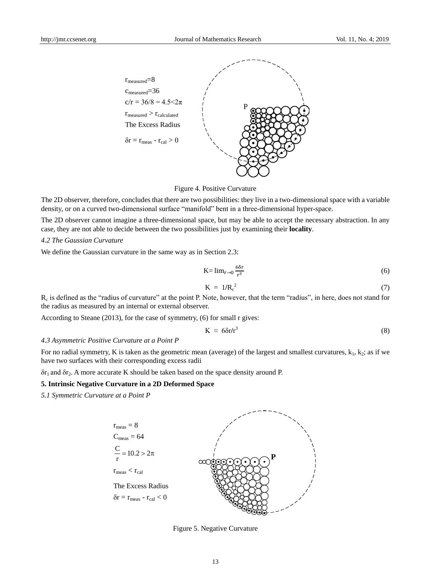

Figure 4. Positive Curvature

The 2D observer, therefore, concludes that there are two possibilities: they live in a two-dimensional space with a variable density, or on a curved two-dimensional surface "manifold" bent in a three-dimensional hyper-space.

The 2D observer cannot imagine a three-dimensional space, but may be able to accept the necessary abstraction. In any case, they are not able to decide between the two possibilities just by examining their **locality**.

#### *4.2 The Gaussian Curvature*

We define the Gaussian curvature in the same way as in Section 2.3:

$$
K = \lim_{r \to 0} \frac{6\delta r}{r^3} \tag{6}
$$

$$
K = 1/R_c^2 \tag{7}
$$

 $R_c$  is defined as the "radius of curvature" at the point P. Note, however, that the term "radius", in here, does not stand for the radius as measured by an internal or external observer.

According to Steane (2013), for the case of symmetry, (6) for small r gives:

$$
K \approx 6\delta r/r^3 \tag{8}
$$

## *4.3 Asymmetric Positive Curvature at a Point P*

For no radial symmetry, K is taken as the geometric mean (average) of the largest and smallest curvatures,  $k_1$ ,  $k_2$ ; as if we have two surfaces with their corresponding excess radii

δr1 and δr2. A more accurate K should be taken based on the space density around P.

### **5. Intrinsic Negative Curvature in a 2D Deformed Space**

*5.1 Symmetric Curvature at a Point P*



Figure 5. Negative Curvature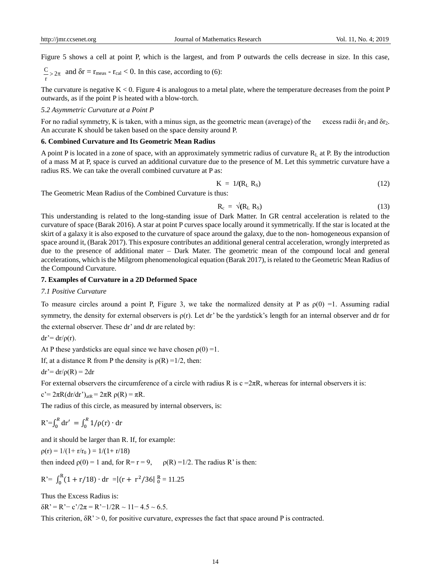Figure 5 shows a cell at point P, which is the largest, and from P outwards the cells decrease in size. In this case,

$$
\frac{C}{r}
$$
 and  $\delta r = r_{\text{meas}} - r_{\text{cal}} < 0$ . In this case, according to (6):

The curvature is negative  $K < 0$ . Figure 4 is analogous to a metal plate, where the temperature decreases from the point P outwards, as if the point P is heated with a blow-torch.

## *5.2 Asymmetric Curvature at a Point P*

For no radial symmetry, K is taken, with a minus sign, as the geometric mean (average) of the excess radii  $\delta r_1$  and  $\delta r_2$ . An accurate K should be taken based on the space density around P.

#### **6. Combined Curvature and Its Geometric Mean Radius**

A point P is located in a zone of space, with an approximately symmetric radius of curvature  $R<sub>L</sub>$  at P. By the introduction of a mass M at P, space is curved an additional curvature due to the presence of M. Let this symmetric curvature have a radius RS. We can take the overall combined curvature at P as:

$$
K = 1/(RL RS)
$$
 (12)

The Geometric Mean Radius of the Combined Curvature is thus:

$$
R_c = \sqrt{(R_L R_S)}\tag{13}
$$

This understanding is related to the long-standing issue of Dark Matter. In GR central acceleration is related to the curvature of space (Barak 2016). A star at point P curves space locally around it symmetrically. If the star is located at the skirt of a galaxy it is also exposed to the curvature of space around the galaxy, due to the non- homogeneous expansion of space around it, (Barak 2017). This exposure contributes an additional general central acceleration, wrongly interpreted as due to the presence of additional mater – Dark Mater. The geometric mean of the compound local and general accelerations, which is the Milgrom phenomenological equation (Barak 2017), is related to the Geometric Mean Radius of the Compound Curvature.

#### **7. Examples of Curvature in a 2D Deformed Space**

#### *7.1 Positive Curvature*

To measure circles around a point P, Figure 3, we take the normalized density at P as  $\rho(0) = 1$ . Assuming radial symmetry, the density for external observers is  $\rho(r)$ . Let dr' be the yardstick's length for an internal observer and dr for the external observer. These dr' and dr are related by:

 $dr' = dr/\rho(r)$ .

At P these yardsticks are equal since we have chosen  $p(0) = 1$ .

If, at a distance R from P the density is  $\rho(R) = 1/2$ , then:

$$
dr' = dr/\rho(R) = 2dr
$$

For external observers the circumference of a circle with radius R is  $c = 2\pi R$ , whereas for internal observers it is:

 $c' = 2\pi R(dr/dr')_{atR} = 2\pi R \rho(R) = \pi R$ .

The radius of this circle, as measured by internal observers, is:

$$
R' = \int_0^R dr' = \int_0^R 1/\rho(r) \cdot dr
$$

and it should be larger than R. If, for example:

$$
\rho(r) = 1/(1 + r/r_0) = 1/(1 + r/18)
$$
  
then indeed  $\rho(0) = 1$  and, for R = r = 9,  $\rho(R) = 1/2$ . The radius R' is then:

$$
R = \int_0^R (1 + r/18) \cdot dr = |(r + r^2/36)|_0^R = 11.25
$$

Thus the Excess Radius is:

 $\delta R' = R' - c'/2\pi = R' - 1/2R \sim 11 - 4.5 \sim 6.5.$ 

This criterion,  $\delta R$ ' > 0, for positive curvature, expresses the fact that space around P is contracted.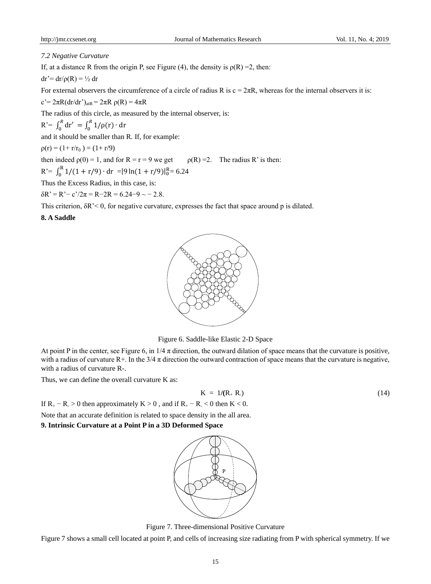#### *7.2 Negative Curvature*

If, at a distance R from the origin P, see Figure (4), the density is  $\rho(R) = 2$ , then:

$$
dr' = dr/\rho(R) = \frac{1}{2} dr
$$

For external observers the circumference of a circle of radius R is  $c = 2\pi R$ , whereas for the internal observers it is:

c'=  $2\pi R(dr/dr')_{aR}$  =  $2\pi Rρ(R)$  =  $4\pi R$ 

The radius of this circle, as measured by the internal observer, is:

R'=  $\int_0^R dr' = \int_0^R 1/\rho(r) \cdot dr$ 

and it should be smaller than R. If, for example:

 $p(r) = (1 + r/r_0) = (1 + r/9)$ 

then indeed  $\rho(0) = 1$ , and for  $R = r = 9$  we get  $\rho(R) = 2$ . The radius R' is then:

$$
R' = \int_0^R 1/(1 + r/9) \cdot dr = |9 \ln(1 + r/9)|_0^R = 6.24
$$

Thus the Excess Radius, in this case, is:

 $\delta R' = R' - c'/2\pi = R - 2R = 6.24 - 9 \sim -2.8.$ 

This criterion, δR'< 0, for negative curvature, expresses the fact that space around p is dilated.

## **8. A Saddle**



Figure 6. Saddle-like Elastic 2-D Space

At point P in the center, see Figure 6, in  $1/4 \pi$  direction, the outward dilation of space means that the curvature is positive, with a radius of curvature R+. In the  $3/4 \pi$  direction the outward contraction of space means that the curvature is negative, with a radius of curvature R-.

Thus, we can define the overall curvature K as:

$$
K = 1/(R_+ R_2) \tag{14}
$$

If  $R_+ - R > 0$  then approximately  $K > 0$ , and if  $R_+ - R < 0$  then  $K < 0$ .

Note that an accurate definition is related to space density in the all area. **9. Intrinsic Curvature at a Point P in a 3D Deformed Space**



Figure 7. Three-dimensional Positive Curvature

Figure 7 shows a small cell located at point P, and cells of increasing size radiating from P with spherical symmetry. If we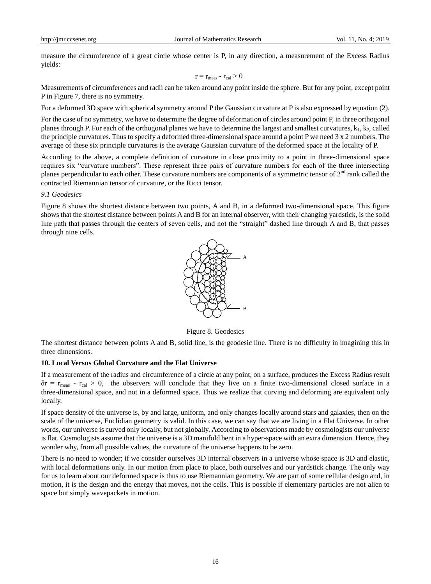measure the circumference of a great circle whose center is P, in any direction, a measurement of the Excess Radius yields:

$$
r = r_{\text{meas}} - r_{\text{cal}} > 0
$$

Measurements of circumferences and radii can be taken around any point inside the sphere. But for any point, except point P in Figure 7, there is no symmetry.

For a deformed 3D space with spherical symmetry around P the Gaussian curvature at P is also expressed by equation (2).

For the case of no symmetry, we have to determine the degree of deformation of circles around point P, in three orthogonal planes through P. For each of the orthogonal planes we have to determine the largest and smallest curvatures,  $k_1, k_2$ , called the principle curvatures. Thus to specify a deformed three-dimensional space around a point P we need 3 x 2 numbers. The average of these six principle curvatures is the average Gaussian curvature of the deformed space at the locality of P.

According to the above, a complete definition of curvature in close proximity to a point in three-dimensional space requires six "curvature numbers". These represent three pairs of curvature numbers for each of the three intersecting planes perpendicular to each other. These curvature numbers are components of a symmetric tensor of  $2<sup>nd</sup>$  rank called the contracted Riemannian tensor of curvature, or the Ricci tensor.

# *9.1 Geodesics*

Figure 8 shows the shortest distance between two points, A and B, in a deformed two-dimensional space. This figure shows that the shortest distance between points A and B for an internal observer, with their changing yardstick, is the solid line path that passes through the centers of seven cells, and not the "straight" dashed line through A and B, that passes through nine cells.



Figure 8. Geodesics

The shortest distance between points A and B, solid line, is the geodesic line. There is no difficulty in imagining this in three dimensions.

# **10. Local Versus Global Curvature and the Flat Universe**

If a measurement of the radius and circumference of a circle at any point, on a surface, produces the Excess Radius result  $\delta r = r_{\text{meas}} - r_{\text{cal}} > 0$ , the observers will conclude that they live on a finite two-dimensional closed surface in a three-dimensional space, and not in a deformed space. Thus we realize that curving and deforming are equivalent only locally.

If space density of the universe is, by and large, uniform, and only changes locally around stars and galaxies, then on the scale of the universe, Euclidian geometry is valid. In this case, we can say that we are living in a Flat Universe. In other words, our universe is curved only locally, but not globally. According to observations made by cosmologists our universe is flat. Cosmologists assume that the universe is a 3D manifold bent in a hyper-space with an extra dimension. Hence, they wonder why, from all possible values, the curvature of the universe happens to be zero.

There is no need to wonder; if we consider ourselves 3D internal observers in a universe whose space is 3D and elastic, with local deformations only. In our motion from place to place, both ourselves and our yardstick change. The only way for us to learn about our deformed space is thus to use Riemannian geometry. We are part of some cellular design and, in motion, it is the design and the energy that moves, not the cells. This is possible if elementary particles are not alien to space but simply wavepackets in motion.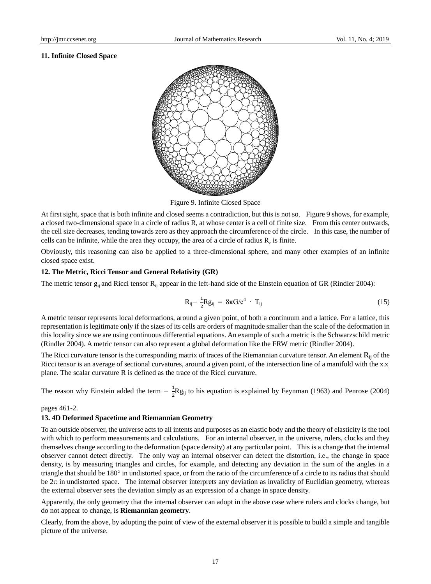#### **11. Infinite Closed Space**



Figure 9. Infinite Closed Space

At first sight, space that is both infinite and closed seems a contradiction, but this is not so. Figure 9 shows, for example, a closed two-dimensional space in a circle of radius R, at whose center is a cell of finite size. From this center outwards, the cell size decreases, tending towards zero as they approach the circumference of the circle. In this case, the number of cells can be infinite, while the area they occupy, the area of a circle of radius R, is finite.

Obviously, this reasoning can also be applied to a three-dimensional sphere, and many other examples of an infinite closed space exist.

## **12. The Metric, Ricci Tensor and General Relativity (GR)**

The metric tensor  $g_{ii}$  and Ricci tensor  $R_{ii}$  appear in the left-hand side of the Einstein equation of GR (Rindler 2004):

$$
R_{ij} - \frac{1}{2} R g_{ij} = 8\pi G/c^4 \cdot T_{ij}
$$
 (15)

A metric tensor represents local deformations, around a given point, of both a continuum and a lattice. For a lattice, this representation is legitimate only if the sizes of its cells are orders of magnitude smaller than the scale of the deformation in this locality since we are using continuous differential equations. An example of such a metric is the Schwarzschild metric (Rindler 2004). A metric tensor can also represent a global deformation like the FRW metric (Rindler 2004).

The Ricci curvature tensor is the corresponding matrix of traces of the Riemannian curvature tensor. An element R<sub>ij</sub> of the Ricci tensor is an average of sectional curvatures, around a given point, of the intersection line of a manifold with the  $x_i x_j$ plane. The scalar curvature R is defined as the trace of the Ricci curvature.

The reason why Einstein added the term  $-\frac{1}{3}$  $\frac{1}{2}$ Rg<sub>ij</sub> to his equation is explained by Feynman (1963) and Penrose (2004)

#### pages 461-2.

## **13. 4D Deformed Spacetime and Riemannian Geometry**

To an outside observer, the universe acts to all intents and purposes as an elastic body and the theory of elasticity is the tool with which to perform measurements and calculations. For an internal observer, in the universe, rulers, clocks and they themselves change according to the deformation (space density) at any particular point. This is a change that the internal observer cannot detect directly. The only way an internal observer can detect the distortion, i.e., the change in space density, is by measuring triangles and circles, for example, and detecting any deviation in the sum of the angles in a triangle that should be 180° in undistorted space, or from the ratio of the circumference of a circle to its radius that should be  $2\pi$  in undistorted space. The internal observer interprets any deviation as invalidity of Euclidian geometry, whereas the external observer sees the deviation simply as an expression of a change in space density.

Apparently, the only geometry that the internal observer can adopt in the above case where rulers and clocks change, but do not appear to change, is **Riemannian geometry**.

Clearly, from the above, by adopting the point of view of the external observer it is possible to build a simple and tangible picture of the universe.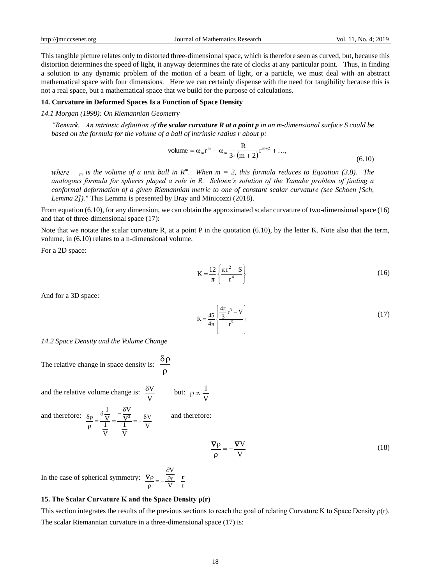This tangible picture relates only to distorted three-dimensional space, which is therefore seen as curved, but, because this distortion determines the speed of light, it anyway determines the rate of clocks at any particular point. Thus, in finding a solution to any dynamic problem of the motion of a beam of light, or a particle, we must deal with an abstract mathematical space with four dimensions. Here we can certainly dispense with the need for tangibility because this is not a real space, but a mathematical space that we build for the purpose of calculations.

#### **14. Curvature in Deformed Spaces Is a Function of Space Density**

#### *14.1 Morgan (1998): On Riemannian Geometry*

*"Remark. An intrinsic definition of the scalar curvature R at a point p in an m-dimensional surface S could be based on the formula for the volume of a ball of intrinsic radius r about p:*

volume = 
$$
\alpha_m r^m - \alpha_m \frac{R}{3 \cdot (m+2)} r^{m+2} + ...
$$
, (6.10)

*m* is the volume of a unit ball in  $R^m$ . When  $m = 2$ , this formula reduces to Equation (3.8). The where *analogous formula for spheres played a role in R. Schoen's solution of the Yamabe problem of finding a conformal deformation of a given Riemannian metric to one of constant scalar curvature (see Schoen [Sch, Lemma 2])."* This Lemma is presented by Bray and Minicozzi (2018).

From equation (6.10), for any dimension, we can obtain the approximated scalar curvature of two-dimensional space (16) and that of three-dimensional space (17):

Note that we notate the scalar curvature R, at a point P in the quotation (6.10), by the letter K. Note also that the term, volume, in (6.10) relates to a n-dimensional volume.

For a 2D space:

$$
K = \frac{12}{\pi} \left\{ \frac{\pi r^2 - S}{r^4} \right\}
$$
 (16)

And for a 3D space:

$$
K = \frac{45}{4\pi} \left\{ \frac{\frac{4\pi}{3}r^3 - V}{r^5} \right\}
$$
 (17)

*14.2 Space Density and the Volume Change*

The relative change in space density is: 
$$
\frac{\delta \rho}{\rho}
$$

and the relative volume change is: V  $\frac{\delta V}{\delta}$  but:  $\rho \propto \frac{1}{\sqrt{2}}$ 

and therefore: 
$$
\frac{\delta \rho}{\rho} = \frac{\delta \frac{1}{V}}{\frac{1}{V}} = \frac{-\frac{\delta V}{V^2}}{\frac{1}{V}} = -\frac{\delta V}{V}
$$
 and therefore:

$$
\frac{\nabla \rho}{\rho} = -\frac{\nabla V}{V}
$$
 (18)

In the case of spherical symmetry: V r r V  $\overline{\hat{c}r}$  <u>r</u>  $\partial$  $\frac{\partial P}{\partial r} = \nabla \rho$ 

#### **15. The Scalar Curvature K and the Space Density ρ(r)**

This section integrates the results of the previous sections to reach the goal of relating Curvature K to Space Density  $\rho(r)$ . The scalar Riemannian curvature in a three-dimensional space (17) is:

V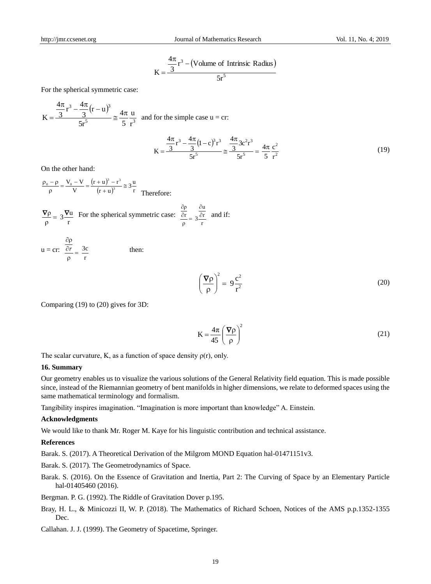$$
K = \frac{\frac{4\pi}{3}r^3 - (Volume of Intrinsic Radius)}{5r^5}
$$

For the spherical symmetric case:

$$
K = \frac{\frac{4\pi}{3}r^3 - \frac{4\pi}{3}(r - u)^3}{5r^5} \approx \frac{4\pi}{5} \frac{u}{r^3}
$$
 and for the simple case u = cr:  

$$
K = \frac{\frac{4\pi}{3}r^3 - \frac{4\pi}{3}(1 - c)^3r^3}{5r^5} \approx \frac{\frac{4\pi}{3}3c^2r^3}{5r^5} = \frac{4\pi}{5} \frac{c^2}{r^2}
$$
(19)

On the other hand:

 $(r+u)^3$  $(r+u)^3$  r  $\frac{(-\mu)^3 - r^3}{r + u^3} \approx 3\frac{u}{r}$  $(r + u)^3 - r$ V  $\frac{V_0 - V}{V} = \frac{(r+u)^3 - (r+u)^3}{(r+u)^3}$  $\frac{1}{\rho}$   $\phi$  =  $\frac{V_0 - V}{V}$  =  $\frac{(r + u)^3 - r^3}{(r + u)^3}$   $\approx$  $\frac{(-\rho)}{\rho} = \frac{V_0 - V}{V} = \frac{(r + u)^3 - (r + u)^3}{(r + u)^3}$  $\rho_0 - \rho$ Therefore:

$$
\frac{\nabla \rho}{\rho} = 3 \frac{\nabla u}{r}
$$
 For the spherical symmetric case:  $\frac{\frac{\partial \rho}{\partial r}}{\rho} = 3 \frac{\frac{\partial u}{\partial r}}{r}$  and if:

$$
u = cr: \frac{\frac{\partial \rho}{\partial r}}{\rho} = \frac{3c}{r}
$$
 then:

$$
\left(\frac{\nabla \rho}{\rho}\right)^2 = 9\frac{c^2}{r^2} \tag{20}
$$

Comparing (19) to (20) gives for 3D:

$$
K = \frac{4\pi}{45} \left(\frac{\nabla \rho}{\rho}\right)^2
$$
 (21)

The scalar curvature, K, as a function of space density  $\rho(r)$ , only.

#### **16. Summary**

Our geometry enables us to visualize the various solutions of the General Relativity field equation. This is made possible since, instead of the Riemannian geometry of bent manifolds in higher dimensions, we relate to deformed spaces using the same mathematical terminology and formalism.

Tangibility inspires imagination. "Imagination is more important than knowledge" A. Einstein.

#### **Acknowledgments**

We would like to thank Mr. Roger M. Kaye for his linguistic contribution and technical assistance.

#### **References**

Barak. S. (2017). A Theoretical Derivation of the Milgrom MOND Equation hal-01471151v3.

Barak. S. (2017). The Geometrodynamics of Space.

Barak. S. (2016). On the Essence of Gravitation and Inertia, Part 2: The Curving of Space by an Elementary Particle hal-01405460 (2016).

Bergman. P. G. (1992). The Riddle of Gravitation Dover p.195.

- Bray, H. L., & Minicozzi II, W. P. (2018). The Mathematics of Richard Schoen, Notices of the AMS p.p.1352-1355 Dec.
- Callahan. J. J. (1999). The Geometry of Spacetime, Springer.